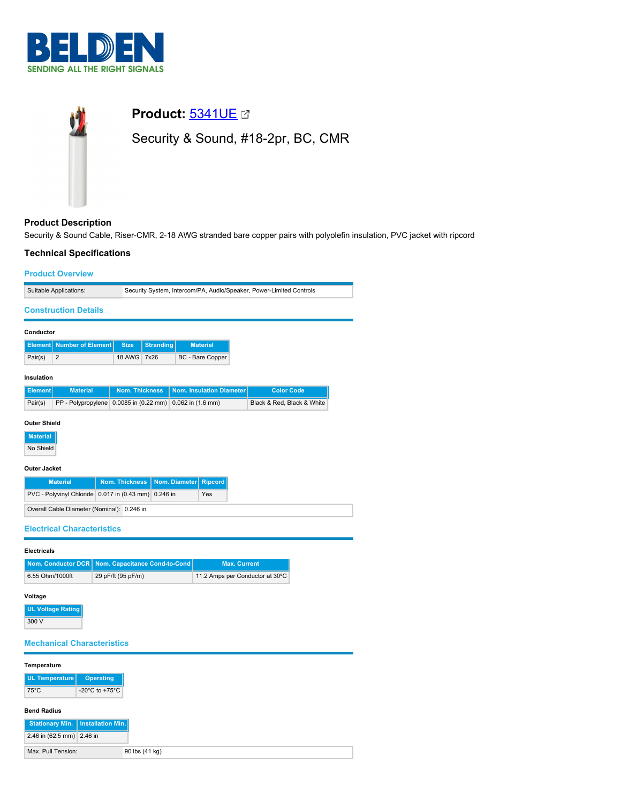



# **Product Description**

Security & Sound Cable, Riser-CMR, 2-18 AWG stranded bare copper pairs with polyolefin insulation, PVC jacket with ripcord

## **Technical Specifications**

| <b>Product Overview</b>                                                                                                                                                                                                                         |                          |                                                                     |                  |                       |                          |                     |                                 |  |  |
|-------------------------------------------------------------------------------------------------------------------------------------------------------------------------------------------------------------------------------------------------|--------------------------|---------------------------------------------------------------------|------------------|-----------------------|--------------------------|---------------------|---------------------------------|--|--|
| Suitable Applications:                                                                                                                                                                                                                          |                          | Security System, Intercom/PA, Audio/Speaker, Power-Limited Controls |                  |                       |                          |                     |                                 |  |  |
| <b>Construction Details</b>                                                                                                                                                                                                                     |                          |                                                                     |                  |                       |                          |                     |                                 |  |  |
| Conductor                                                                                                                                                                                                                                       |                          |                                                                     |                  |                       |                          |                     |                                 |  |  |
| <b>Element</b>                                                                                                                                                                                                                                  | <b>Number of Element</b> | <b>Size</b>                                                         | <b>Stranding</b> |                       | <b>Material</b>          |                     |                                 |  |  |
| $\overline{2}$<br>Pair(s)                                                                                                                                                                                                                       |                          | 18 AWG 7x26                                                         |                  |                       | BC - Bare Copper         |                     |                                 |  |  |
| Insulation                                                                                                                                                                                                                                      |                          |                                                                     |                  |                       |                          |                     |                                 |  |  |
| <b>Element</b>                                                                                                                                                                                                                                  | <b>Material</b>          | <b>Nom. Thickness</b>                                               |                  |                       | Nom. Insulation Diameter |                     | <b>Color Code</b>               |  |  |
| Pair(s)                                                                                                                                                                                                                                         |                          | PP - Polypropylene 0.0085 in (0.22 mm)                              |                  | $0.062$ in $(1.6$ mm) |                          |                     | Black & Red, Black & White      |  |  |
| <b>Material</b><br>No Shield<br><b>Outer Jacket</b><br>Nom. Diameter<br><b>Material</b><br><b>Nom. Thickness</b><br><b>Ripcord</b><br>PVC - Polyvinyl Chloride 0.017 in (0.43 mm) 0.246 in<br>Yes<br>Overall Cable Diameter (Nominal): 0.246 in |                          |                                                                     |                  |                       |                          |                     |                                 |  |  |
| <b>Electrical Characteristics</b>                                                                                                                                                                                                               |                          |                                                                     |                  |                       |                          |                     |                                 |  |  |
| <b>Electricals</b>                                                                                                                                                                                                                              |                          |                                                                     |                  |                       |                          |                     |                                 |  |  |
| Nom. Conductor DCR                                                                                                                                                                                                                              |                          | Nom. Capacitance Cond-to-Cond                                       |                  |                       |                          | <b>Max. Current</b> |                                 |  |  |
| 6.55 Ohm/1000ft                                                                                                                                                                                                                                 |                          | 29 pF/ft (95 pF/m)                                                  |                  |                       |                          |                     | 11.2 Amps per Conductor at 30°C |  |  |
| Voltage<br><b>UL Voltage Rating</b><br>300 V<br><b>Mechanical Characteristics</b>                                                                                                                                                               |                          |                                                                     |                  |                       |                          |                     |                                 |  |  |

## **Temperature**

| UL Temperature         | <b>Operating</b>                     |  |
|------------------------|--------------------------------------|--|
| $75^{\circ}$ C         | -20 $^{\circ}$ C to +75 $^{\circ}$ C |  |
|                        |                                      |  |
| <b>Bend Radius</b>     |                                      |  |
| <b>Stationary Min.</b> | Installation Min.                    |  |

Max. Pull Tension: 90 lbs (41 kg)